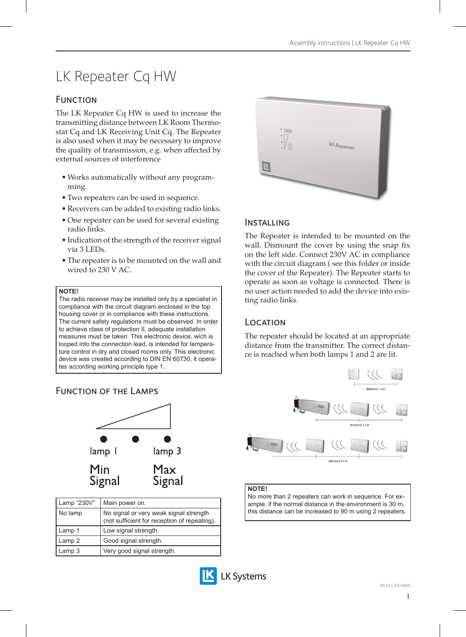# LK Repeater Cq HW

# Function

The LK Repeater Cq HW is used to increase the transmitting distance between LK Room Thermostat Cq and LK Receiving Unit Cq. The Repeater is also used when it may be necessary to improve the quality of transmission, e.g. when affected by external sources of interference

- Works automatically without any programming.
- Two repeaters can be used in sequence.
- Receivers can be added to existing radio links.
- One repeater can be used for several existing radio links.
- Indication of the strength of the receiver signal via 3 LEDs.
- The repeater is to be mounted on the wall and wired to 230 V AC.

#### **NOTE!**

The radio receiver may be installed only by a specialist in compliance with the circuit diagram enclosed in the top housing cover or in compliance with these instructions. The current safety regulations must be observed. In order to achieve class of protection II, adequate installation measures must be taken. This electronic device, wich is looped into the connection lead, is intended for temperature control in dry and closed rooms only. This electronic device was created according to DIN EN 60730, it operates according working principle type 1.

## Function of the Lamps



| Lamp "230V" | Main power on.                                                                         |
|-------------|----------------------------------------------------------------------------------------|
| No lamp     | No signal or very weak signal strength<br>(not sufficient for reception of repeating). |
| Lamp 1      | Low signal strength.                                                                   |
| Lamp 2      | Good signal strength.                                                                  |
| Lamp 3      | Very good signal strength.                                                             |



### Installing

The Repeater is intended to be mounted on the wall. Dismount the cover by using the snap fix on the left side. Connect 230V AC in compliance with the circuit diagram ( see this folder or inside the cover of the Repeater). The Repeater starts to operate as soon as voltage is connected. There is no user action needed to add the device into existing radio links.

## Location

The repeater should be located at an appropriate distance from the transmitter. The correct distance is reached when both lamps 1 and 2 are lit.



#### **NOTE!**

No more than 2 repeaters can work in sequence. For example, if the normal distance in the environment is 30 m, this distance can be increased to 90 m using 2 repeaters.